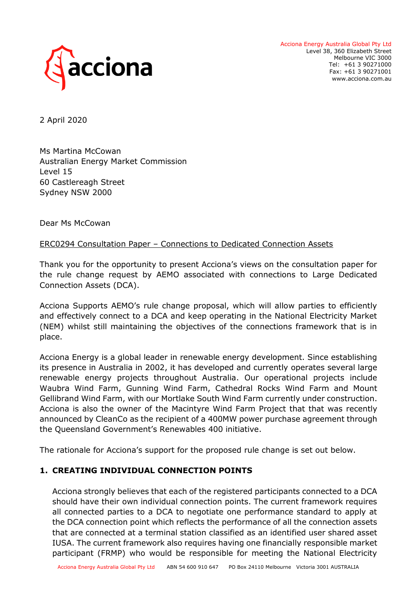

Acciona Energy Australia Global Pty Ltd Level 38, 360 Elizabeth Street Melbourne VIC 3000 Tel: +61 3 90271000 Fax: +61 3 90271001 www.acciona.com.au

2 April 2020

Ms Martina McCowan Australian Energy Market Commission Level 15 60 Castlereagh Street Sydney NSW 2000

Dear Ms McCowan

## ERC0294 Consultation Paper – Connections to Dedicated Connection Assets

Thank you for the opportunity to present Acciona's views on the consultation paper for the rule change request by AEMO associated with connections to Large Dedicated Connection Assets (DCA).

Acciona Supports AEMO's rule change proposal, which will allow parties to efficiently and effectively connect to a DCA and keep operating in the National Electricity Market (NEM) whilst still maintaining the objectives of the connections framework that is in place.

Acciona Energy is a global leader in renewable energy development. Since establishing its presence in Australia in 2002, it has developed and currently operates several large renewable energy projects throughout Australia. Our operational projects include Waubra Wind Farm, Gunning Wind Farm, Cathedral Rocks Wind Farm and Mount Gellibrand Wind Farm, with our Mortlake South Wind Farm currently under construction. Acciona is also the owner of the Macintyre Wind Farm Project that that was recently announced by CleanCo as the recipient of a 400MW power purchase agreement through the Queensland Government's Renewables 400 initiative.

The rationale for Acciona's support for the proposed rule change is set out below.

## **1. CREATING INDIVIDUAL CONNECTION POINTS**

Acciona strongly believes that each of the registered participants connected to a DCA should have their own individual connection points. The current framework requires all connected parties to a DCA to negotiate one performance standard to apply at the DCA connection point which reflects the performance of all the connection assets that are connected at a terminal station classified as an identified user shared asset IUSA. The current framework also requires having one financially responsible market participant (FRMP) who would be responsible for meeting the National Electricity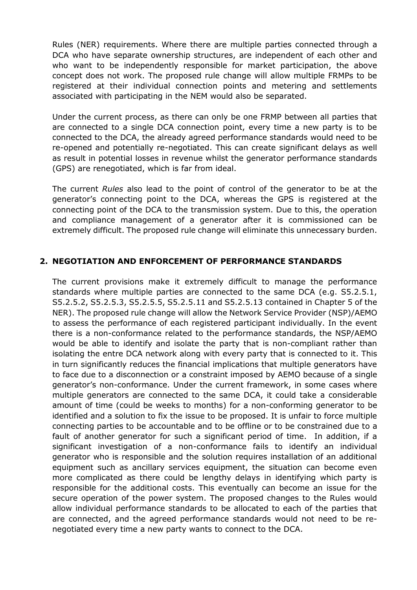Rules (NER) requirements. Where there are multiple parties connected through a DCA who have separate ownership structures, are independent of each other and who want to be independently responsible for market participation, the above concept does not work. The proposed rule change will allow multiple FRMPs to be registered at their individual connection points and metering and settlements associated with participating in the NEM would also be separated.

Under the current process, as there can only be one FRMP between all parties that are connected to a single DCA connection point, every time a new party is to be connected to the DCA, the already agreed performance standards would need to be re-opened and potentially re-negotiated. This can create significant delays as well as result in potential losses in revenue whilst the generator performance standards (GPS) are renegotiated, which is far from ideal.

The current *Rules* also lead to the point of control of the generator to be at the generator's connecting point to the DCA, whereas the GPS is registered at the connecting point of the DCA to the transmission system. Due to this, the operation and compliance management of a generator after it is commissioned can be extremely difficult. The proposed rule change will eliminate this unnecessary burden.

## **2. NEGOTIATION AND ENFORCEMENT OF PERFORMANCE STANDARDS**

The current provisions make it extremely difficult to manage the performance standards where multiple parties are connected to the same DCA (e.g. S5.2.5.1, S5.2.5.2, S5.2.5.3, S5.2.5.5, S5.2.5.11 and S5.2.5.13 contained in Chapter 5 of the NER). The proposed rule change will allow the Network Service Provider (NSP)/AEMO to assess the performance of each registered participant individually. In the event there is a non-conformance related to the performance standards, the NSP/AEMO would be able to identify and isolate the party that is non-compliant rather than isolating the entre DCA network along with every party that is connected to it. This in turn significantly reduces the financial implications that multiple generators have to face due to a disconnection or a constraint imposed by AEMO because of a single generator's non-conformance. Under the current framework, in some cases where multiple generators are connected to the same DCA, it could take a considerable amount of time (could be weeks to months) for a non-conforming generator to be identified and a solution to fix the issue to be proposed. It is unfair to force multiple connecting parties to be accountable and to be offline or to be constrained due to a fault of another generator for such a significant period of time. In addition, if a significant investigation of a non-conformance fails to identify an individual generator who is responsible and the solution requires installation of an additional equipment such as ancillary services equipment, the situation can become even more complicated as there could be lengthy delays in identifying which party is responsible for the additional costs. This eventually can become an issue for the secure operation of the power system. The proposed changes to the Rules would allow individual performance standards to be allocated to each of the parties that are connected, and the agreed performance standards would not need to be renegotiated every time a new party wants to connect to the DCA.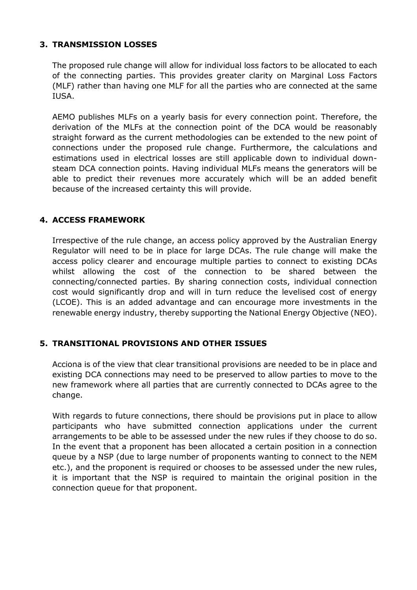# **3. TRANSMISSION LOSSES**

The proposed rule change will allow for individual loss factors to be allocated to each of the connecting parties. This provides greater clarity on Marginal Loss Factors (MLF) rather than having one MLF for all the parties who are connected at the same IUSA.

AEMO publishes MLFs on a yearly basis for every connection point. Therefore, the derivation of the MLFs at the connection point of the DCA would be reasonably straight forward as the current methodologies can be extended to the new point of connections under the proposed rule change. Furthermore, the calculations and estimations used in electrical losses are still applicable down to individual downsteam DCA connection points. Having individual MLFs means the generators will be able to predict their revenues more accurately which will be an added benefit because of the increased certainty this will provide.

## **4. ACCESS FRAMEWORK**

Irrespective of the rule change, an access policy approved by the Australian Energy Regulator will need to be in place for large DCAs. The rule change will make the access policy clearer and encourage multiple parties to connect to existing DCAs whilst allowing the cost of the connection to be shared between the connecting/connected parties. By sharing connection costs, individual connection cost would significantly drop and will in turn reduce the levelised cost of energy (LCOE). This is an added advantage and can encourage more investments in the renewable energy industry, thereby supporting the National Energy Objective (NEO).

## **5. TRANSITIONAL PROVISIONS AND OTHER ISSUES**

Acciona is of the view that clear transitional provisions are needed to be in place and existing DCA connections may need to be preserved to allow parties to move to the new framework where all parties that are currently connected to DCAs agree to the change.

With regards to future connections, there should be provisions put in place to allow participants who have submitted connection applications under the current arrangements to be able to be assessed under the new rules if they choose to do so. In the event that a proponent has been allocated a certain position in a connection queue by a NSP (due to large number of proponents wanting to connect to the NEM etc.), and the proponent is required or chooses to be assessed under the new rules, it is important that the NSP is required to maintain the original position in the connection queue for that proponent.